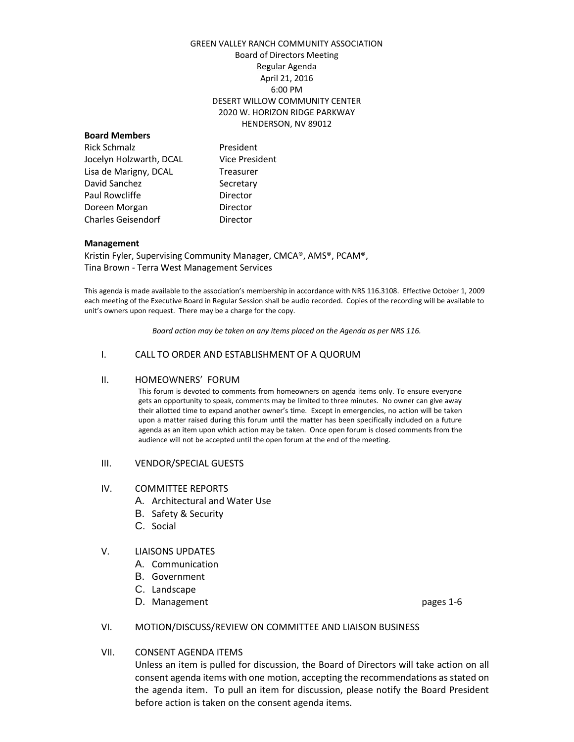# GREEN VALLEY RANCH COMMUNITY ASSOCIATION Board of Directors Meeting Regular Agenda April 21, 2016 6:00 PM DESERT WILLOW COMMUNITY CENTER 2020 W. HORIZON RIDGE PARKWAY HENDERSON, NV 89012

#### **Board Members**

Rick Schmalz **President** Jocelyn Holzwarth, DCAL Vice President Lisa de Marigny, DCAL Treasurer David Sanchez Secretary Paul Rowcliffe **Director** Doreen Morgan **Director** Charles Geisendorf **Director** 

#### **Management**

Kristin Fyler, Supervising Community Manager, CMCA®, AMS®, PCAM®, Tina Brown - Terra West Management Services

This agenda is made available to the association's membership in accordance with NRS 116.3108. Effective October 1, 2009 each meeting of the Executive Board in Regular Session shall be audio recorded. Copies of the recording will be available to unit's owners upon request. There may be a charge for the copy.

*Board action may be taken on any items placed on the Agenda as per NRS 116.*

## I. CALL TO ORDER AND ESTABLISHMENT OF A QUORUM

#### II. HOMEOWNERS' FORUM

This forum is devoted to comments from homeowners on agenda items only. To ensure everyone gets an opportunity to speak, comments may be limited to three minutes. No owner can give away their allotted time to expand another owner's time. Except in emergencies, no action will be taken upon a matter raised during this forum until the matter has been specifically included on a future agenda as an item upon which action may be taken. Once open forum is closed comments from the audience will not be accepted until the open forum at the end of the meeting.

#### III. VENDOR/SPECIAL GUESTS

#### IV. COMMITTEE REPORTS

- A. Architectural and Water Use
- B. Safety & Security
- C. Social

## V. LIAISONS UPDATES

- A. Communication
- B. Government
- C. Landscape
- D. Management **pages** 1-6

## VI. MOTION/DISCUSS/REVIEW ON COMMITTEE AND LIAISON BUSINESS

## VII. CONSENT AGENDA ITEMS

Unless an item is pulled for discussion, the Board of Directors will take action on all consent agenda items with one motion, accepting the recommendations as stated on the agenda item. To pull an item for discussion, please notify the Board President before action is taken on the consent agenda items.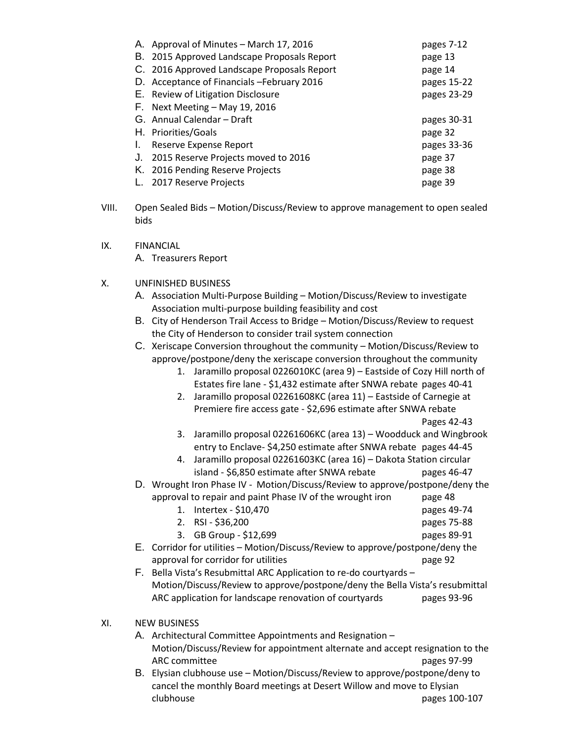|    | A. Approval of Minutes - March 17, 2016     | pages 7-12  |
|----|---------------------------------------------|-------------|
|    | B. 2015 Approved Landscape Proposals Report | page 13     |
|    | C. 2016 Approved Landscape Proposals Report | page 14     |
|    | D. Acceptance of Financials - February 2016 | pages 15-22 |
|    | E. Review of Litigation Disclosure          | pages 23-29 |
|    | $F.$ Next Meeting – May 19, 2016            |             |
|    | G. Annual Calendar - Draft                  | pages 30-31 |
|    | H. Priorities/Goals                         | page 32     |
| I. | Reserve Expense Report                      | pages 33-36 |
| J. | 2015 Reserve Projects moved to 2016         | page 37     |
|    | K. 2016 Pending Reserve Projects            | page 38     |
|    | 2017 Reserve Projects                       | page 39     |
|    |                                             |             |

- VIII. Open Sealed Bids Motion/Discuss/Review to approve management to open sealed bids
- IX. FINANCIAL

A. Treasurers Report

- X. UNFINISHED BUSINESS
	- A. Association Multi-Purpose Building Motion/Discuss/Review to investigate Association multi-purpose building feasibility and cost
	- B. City of Henderson Trail Access to Bridge Motion/Discuss/Review to request the City of Henderson to consider trail system connection
	- C. Xeriscape Conversion throughout the community Motion/Discuss/Review to approve/postpone/deny the xeriscape conversion throughout the community
		- 1. Jaramillo proposal 0226010KC (area 9) Eastside of Cozy Hill north of Estates fire lane - \$1,432 estimate after SNWA rebate pages 40-41
		- 2. Jaramillo proposal 02261608KC (area 11) Eastside of Carnegie at Premiere fire access gate - \$2,696 estimate after SNWA rebate Pages 42-43
		- 3. Jaramillo proposal 02261606KC (area 13) Woodduck and Wingbrook entry to Enclave- \$4,250 estimate after SNWA rebate pages 44-45
		- 4. Jaramillo proposal 02261603KC (area 16) Dakota Station circular island - \$6,850 estimate after SNWA rebate pages 46-47
	- D. Wrought Iron Phase IV Motion/Discuss/Review to approve/postpone/deny the approval to repair and paint Phase IV of the wrought iron page 48
		- 1. Intertex \$10,470 pages 49-74
		- 2. RSI \$36,200 pages 75-88
		- 3. GB Group \$12,699 pages 89-91
	- E. Corridor for utilities Motion/Discuss/Review to approve/postpone/deny the approval for corridor for utilities page 92
	- F. Bella Vista's Resubmittal ARC Application to re-do courtyards Motion/Discuss/Review to approve/postpone/deny the Bella Vista's resubmittal ARC application for landscape renovation of courtyards pages 93-96

# XI. NEW BUSINESS

- A. Architectural Committee Appointments and Resignation Motion/Discuss/Review for appointment alternate and accept resignation to the ARC committee pages 97-99
- B. Elysian clubhouse use Motion/Discuss/Review to approve/postpone/deny to cancel the monthly Board meetings at Desert Willow and move to Elysian clubhouse pages 100-107